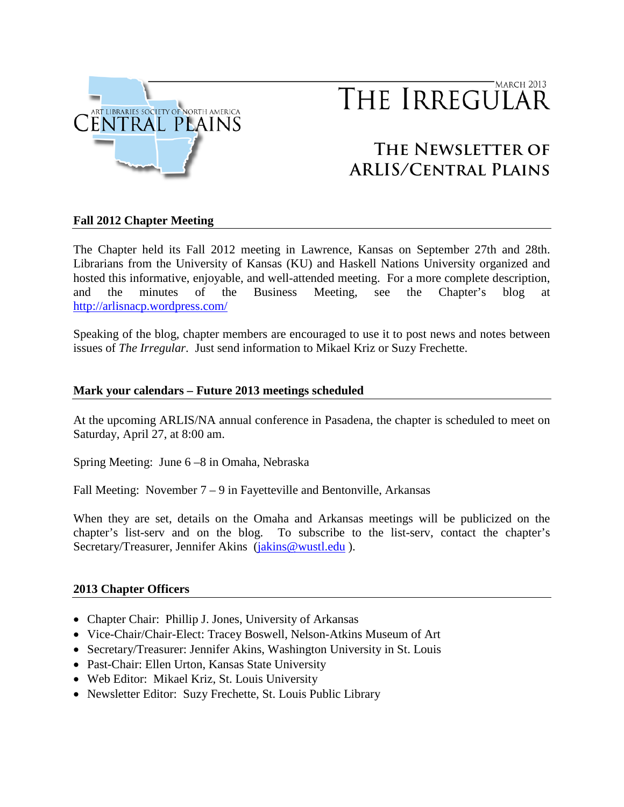

# MARCH 2013 THE IRREGULAR

# **The Newsletter of ARLIS/Central Plains**

# **Fall 2012 Chapter Meeting**

The Chapter held its Fall 2012 meeting in Lawrence, Kansas on September 27th and 28th. Librarians from the University of Kansas (KU) and Haskell Nations University organized and hosted this informative, enjoyable, and well-attended meeting. For a more complete description, and the minutes of the Business Meeting, see the Chapter's blog at <http://arlisnacp.wordpress.com/>

Speaking of the blog, chapter members are encouraged to use it to post news and notes between issues of *The Irregular*. Just send information to Mikael Kriz or Suzy Frechette.

#### **Mark your calendars – Future 2013 meetings scheduled**

At the upcoming ARLIS/NA annual conference in Pasadena, the chapter is scheduled to meet on Saturday, April 27, at 8:00 am.

Spring Meeting: June 6 –8 in Omaha, Nebraska

Fall Meeting: November  $7 - 9$  in Fayetteville and Bentonville, Arkansas

When they are set, details on the Omaha and Arkansas meetings will be publicized on the chapter's list-serv and on the blog. To subscribe to the list-serv, contact the chapter's Secretary/Treasurer, Jennifer Akins [\(jakins@wustl.edu](mailto:jakins@wustl.edu)).

#### **2013 Chapter Officers**

- Chapter Chair: Phillip J. Jones, University of Arkansas
- Vice-Chair/Chair-Elect: Tracey Boswell, Nelson-Atkins Museum of Art
- Secretary/Treasurer: Jennifer Akins, Washington University in St. Louis
- Past-Chair: Ellen Urton, Kansas State University
- Web Editor: Mikael Kriz, St. Louis University
- Newsletter Editor: Suzy Frechette, St. Louis Public Library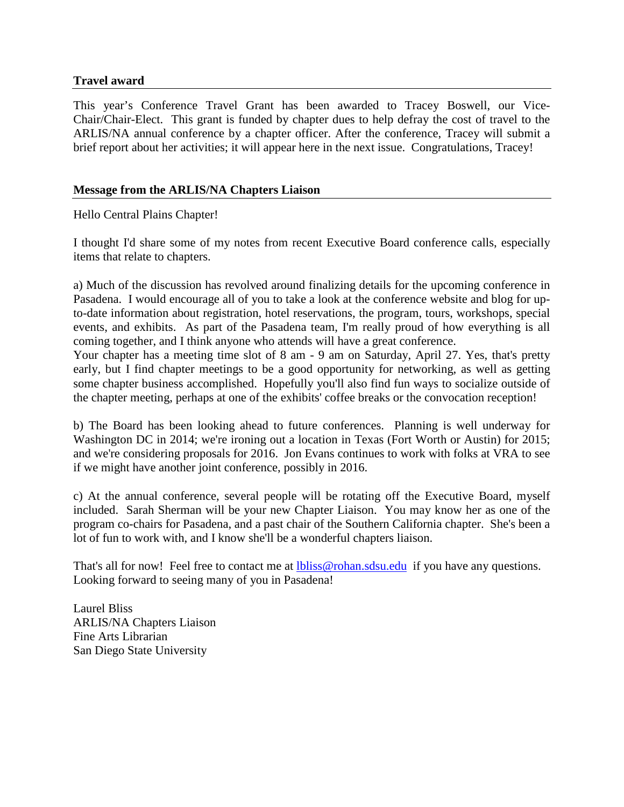# **Travel award**

This year's Conference Travel Grant has been awarded to Tracey Boswell, our Vice-Chair/Chair-Elect. This grant is funded by chapter dues to help defray the cost of travel to the ARLIS/NA annual conference by a chapter officer. After the conference, Tracey will submit a brief report about her activities; it will appear here in the next issue. Congratulations, Tracey!

## **Message from the ARLIS/NA Chapters Liaison**

Hello Central Plains Chapter!

I thought I'd share some of my notes from recent Executive Board conference calls, especially items that relate to chapters.

a) Much of the discussion has revolved around finalizing details for the upcoming conference in Pasadena. I would encourage all of you to take a look at the conference website and blog for upto-date information about registration, hotel reservations, the program, tours, workshops, special events, and exhibits. As part of the Pasadena team, I'm really proud of how everything is all coming together, and I think anyone who attends will have a great conference.

Your chapter has a meeting time slot of 8 am - 9 am on Saturday, April 27. Yes, that's pretty early, but I find chapter meetings to be a good opportunity for networking, as well as getting some chapter business accomplished. Hopefully you'll also find fun ways to socialize outside of the chapter meeting, perhaps at one of the exhibits' coffee breaks or the convocation reception!

b) The Board has been looking ahead to future conferences. Planning is well underway for Washington DC in 2014; we're ironing out a location in Texas (Fort Worth or Austin) for 2015; and we're considering proposals for 2016. Jon Evans continues to work with folks at VRA to see if we might have another joint conference, possibly in 2016.

c) At the annual conference, several people will be rotating off the Executive Board, myself included. Sarah Sherman will be your new Chapter Liaison. You may know her as one of the program co-chairs for Pasadena, and a past chair of the Southern California chapter. She's been a lot of fun to work with, and I know she'll be a wonderful chapters liaison.

That's all for now! Feel free to contact me at **lbliss@rohan.sdsu.edu** if you have any questions. Looking forward to seeing many of you in Pasadena!

Laurel Bliss ARLIS/NA Chapters Liaison Fine Arts Librarian San Diego State University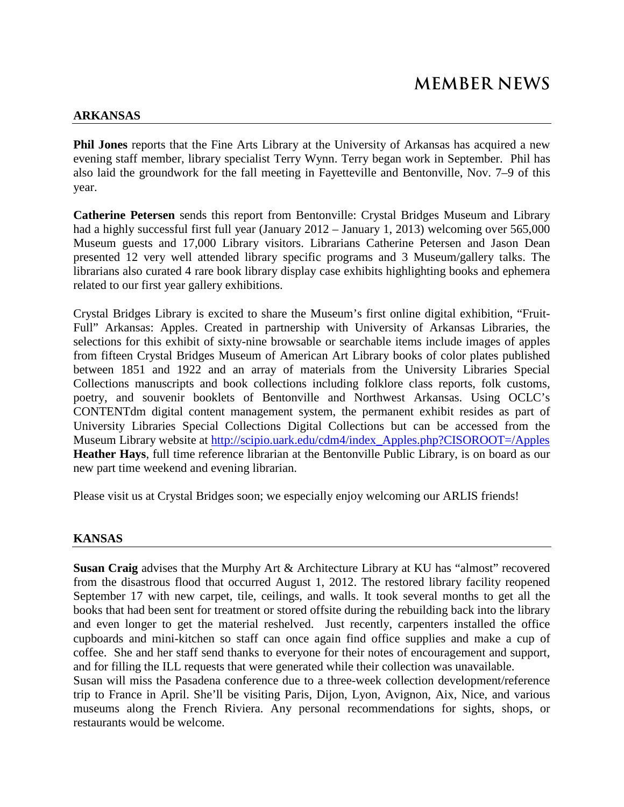#### **ARKANSAS**

**Phil Jones** reports that the Fine Arts Library at the University of Arkansas has acquired a new evening staff member, library specialist Terry Wynn. Terry began work in September. Phil has also laid the groundwork for the fall meeting in Fayetteville and Bentonville, Nov. 7–9 of this year.

**Catherine Petersen** sends this report from Bentonville: Crystal Bridges Museum and Library had a highly successful first full year (January 2012 – January 1, 2013) welcoming over 565,000 Museum guests and 17,000 Library visitors. Librarians Catherine Petersen and Jason Dean presented 12 very well attended library specific programs and 3 Museum/gallery talks. The librarians also curated 4 rare book library display case exhibits highlighting books and ephemera related to our first year gallery exhibitions.

Crystal Bridges Library is excited to share the Museum's first online digital exhibition, "Fruit-Full" Arkansas: Apples. Created in partnership with University of Arkansas Libraries, the selections for this exhibit of sixty-nine browsable or searchable items include images of apples from fifteen Crystal Bridges Museum of American Art Library books of color plates published between 1851 and 1922 and an array of materials from the University Libraries Special Collections manuscripts and book collections including folklore class reports, folk customs, poetry, and souvenir booklets of Bentonville and Northwest Arkansas. Using OCLC's CONTENTdm digital content management system, the permanent exhibit resides as part of University Libraries Special Collections Digital Collections but can be accessed from the Museum Library website at [http://scipio.uark.edu/cdm4/index\\_Apples.php?CISOROOT=/Apples](http://scipio.uark.edu/cdm4/index_Apples.php?CISOROOT=/Apples) **Heather Hays**, full time reference librarian at the Bentonville Public Library, is on board as our new part time weekend and evening librarian.

Please visit us at Crystal Bridges soon; we especially enjoy welcoming our ARLIS friends!

#### **KANSAS**

**Susan Craig** advises that the Murphy Art & Architecture Library at KU has "almost" recovered from the disastrous flood that occurred August 1, 2012. The restored library facility reopened September 17 with new carpet, tile, ceilings, and walls. It took several months to get all the books that had been sent for treatment or stored offsite during the rebuilding back into the library and even longer to get the material reshelved. Just recently, carpenters installed the office cupboards and mini-kitchen so staff can once again find office supplies and make a cup of coffee. She and her staff send thanks to everyone for their notes of encouragement and support, and for filling the ILL requests that were generated while their collection was unavailable.

Susan will miss the Pasadena conference due to a three-week collection development/reference trip to France in April. She'll be visiting Paris, Dijon, Lyon, Avignon, Aix, Nice, and various museums along the French Riviera. Any personal recommendations for sights, shops, or restaurants would be welcome.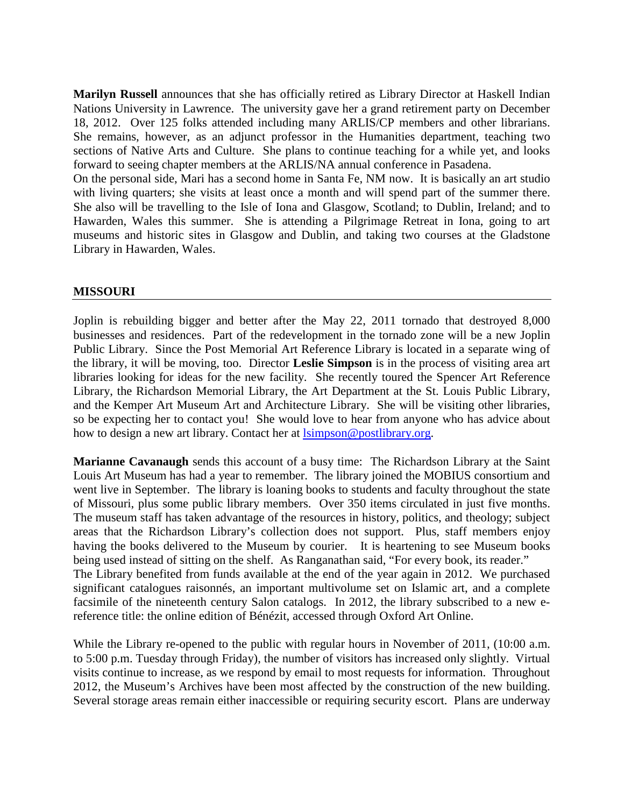**Marilyn Russell** announces that she has officially retired as Library Director at Haskell Indian Nations University in Lawrence. The university gave her a grand retirement party on December 18, 2012. Over 125 folks attended including many ARLIS/CP members and other librarians. She remains, however, as an adjunct professor in the Humanities department, teaching two sections of Native Arts and Culture. She plans to continue teaching for a while yet, and looks forward to seeing chapter members at the ARLIS/NA annual conference in Pasadena.

On the personal side, Mari has a second home in Santa Fe, NM now. It is basically an art studio with living quarters; she visits at least once a month and will spend part of the summer there. She also will be travelling to the Isle of Iona and Glasgow, Scotland; to Dublin, Ireland; and to Hawarden, Wales this summer. She is attending a Pilgrimage Retreat in Iona, going to art museums and historic sites in Glasgow and Dublin, and taking two courses at the Gladstone Library in Hawarden, Wales.

#### **MISSOURI**

Joplin is rebuilding bigger and better after the May 22, 2011 tornado that destroyed 8,000 businesses and residences. Part of the redevelopment in the tornado zone will be a new Joplin Public Library. Since the Post Memorial Art Reference Library is located in a separate wing of the library, it will be moving, too. Director **Leslie Simpson** is in the process of visiting area art libraries looking for ideas for the new facility. She recently toured the Spencer Art Reference Library, the Richardson Memorial Library, the Art Department at the St. Louis Public Library, and the Kemper Art Museum Art and Architecture Library. She will be visiting other libraries, so be expecting her to contact you! She would love to hear from anyone who has advice about how to design a new art library. Contact her at [lsimpson@postlibrary.org.](mailto:lsimpson@postlibrary.org)

**Marianne Cavanaugh** sends this account of a busy time: The Richardson Library at the Saint Louis Art Museum has had a year to remember. The library joined the MOBIUS consortium and went live in September. The library is loaning books to students and faculty throughout the state of Missouri, plus some public library members. Over 350 items circulated in just five months. The museum staff has taken advantage of the resources in history, politics, and theology; subject areas that the Richardson Library's collection does not support. Plus, staff members enjoy having the books delivered to the Museum by courier. It is heartening to see Museum books being used instead of sitting on the shelf. As Ranganathan said, "For every book, its reader." The Library benefited from funds available at the end of the year again in 2012. We purchased significant catalogues raisonnés, an important multivolume set on Islamic art, and a complete facsimile of the nineteenth century Salon catalogs. In 2012, the library subscribed to a new ereference title: the online edition of Bénézit, accessed through Oxford Art Online.

While the Library re-opened to the public with regular hours in November of 2011, (10:00 a.m. to 5:00 p.m. Tuesday through Friday), the number of visitors has increased only slightly. Virtual visits continue to increase, as we respond by email to most requests for information. Throughout 2012, the Museum's Archives have been most affected by the construction of the new building. Several storage areas remain either inaccessible or requiring security escort. Plans are underway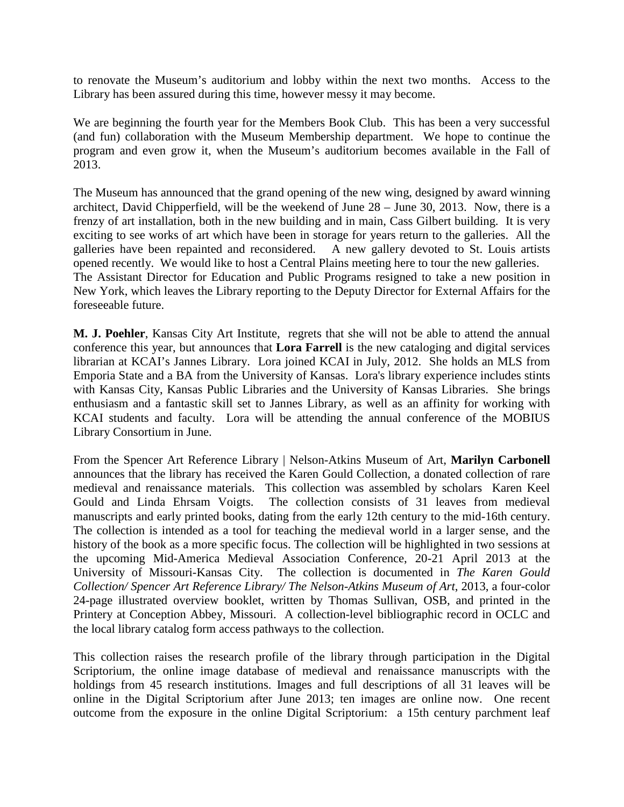to renovate the Museum's auditorium and lobby within the next two months. Access to the Library has been assured during this time, however messy it may become.

We are beginning the fourth year for the Members Book Club. This has been a very successful (and fun) collaboration with the Museum Membership department. We hope to continue the program and even grow it, when the Museum's auditorium becomes available in the Fall of 2013.

The Museum has announced that the grand opening of the new wing, designed by award winning architect, David Chipperfield, will be the weekend of June 28 – June 30, 2013. Now, there is a frenzy of art installation, both in the new building and in main, Cass Gilbert building. It is very exciting to see works of art which have been in storage for years return to the galleries. All the galleries have been repainted and reconsidered. A new gallery devoted to St. Louis artists opened recently. We would like to host a Central Plains meeting here to tour the new galleries. The Assistant Director for Education and Public Programs resigned to take a new position in New York, which leaves the Library reporting to the Deputy Director for External Affairs for the foreseeable future.

**M. J. Poehler**, Kansas City Art Institute, regrets that she will not be able to attend the annual conference this year, but announces that **Lora Farrell** is the new cataloging and digital services librarian at KCAI's Jannes Library. Lora joined KCAI in July, 2012. She holds an MLS from Emporia State and a BA from the University of Kansas. Lora's library experience includes stints with Kansas City, Kansas Public Libraries and the University of Kansas Libraries. She brings enthusiasm and a fantastic skill set to Jannes Library, as well as an affinity for working with KCAI students and faculty. Lora will be attending the annual conference of the MOBIUS Library Consortium in June.

From the Spencer Art Reference Library | Nelson-Atkins Museum of Art, **Marilyn Carbonell** announces that the library has received the Karen Gould Collection, a donated collection of rare medieval and renaissance materials. This collection was assembled by scholars Karen Keel Gould and Linda Ehrsam Voigts. The collection consists of 31 leaves from medieval manuscripts and early printed books, dating from the early 12th century to the mid-16th century. The collection is intended as a tool for teaching the medieval world in a larger sense, and the history of the book as a more specific focus. The collection will be highlighted in two sessions at the upcoming Mid-America Medieval Association Conference, 20-21 April 2013 at the University of Missouri-Kansas City. The collection is documented in *The Karen Gould Collection/ Spencer Art Reference Library/ The Nelson-Atkins Museum of Art*, 2013, a four-color 24-page illustrated overview booklet, written by Thomas Sullivan, OSB, and printed in the Printery at Conception Abbey, Missouri. A collection-level bibliographic record in OCLC and the local library catalog form access pathways to the collection.

This collection raises the research profile of the library through participation in the Digital Scriptorium, the online image database of medieval and renaissance manuscripts with the holdings from 45 research institutions. Images and full descriptions of all 31 leaves will be online in the Digital Scriptorium after June 2013; ten images are online now. One recent outcome from the exposure in the online Digital Scriptorium: a 15th century parchment leaf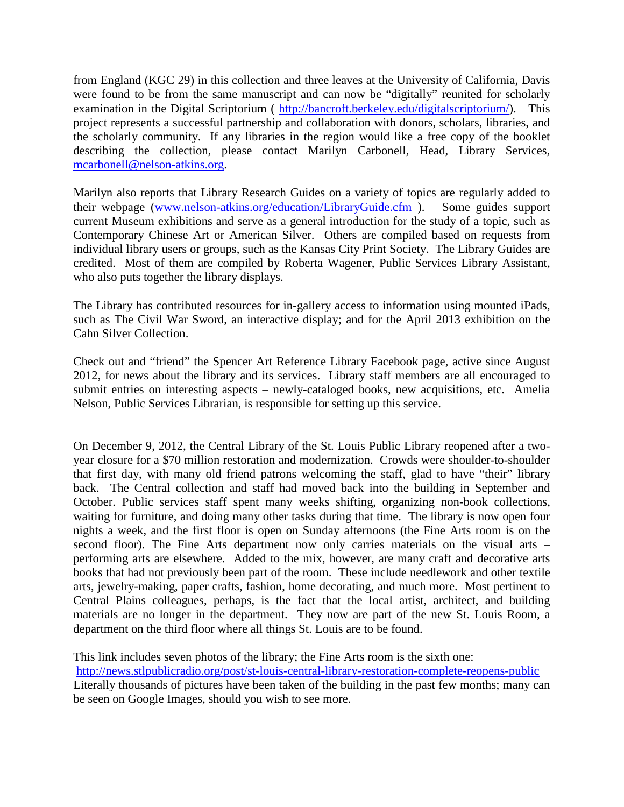from England (KGC 29) in this collection and three leaves at the University of California, Davis were found to be from the same manuscript and can now be "digitally" reunited for scholarly examination in the Digital Scriptorium ( [http://bancroft.berkeley.edu/digitalscriptorium/\)](http://bancroft.berkeley.edu/digitalscriptorium/). This project represents a successful partnership and collaboration with donors, scholars, libraries, and the scholarly community. If any libraries in the region would like a free copy of the booklet describing the collection, please contact Marilyn Carbonell, Head, Library Services, [mcarbonell@nelson-atkins.org.](mailto:mcarbonell@nelson-atkins.org)

Marilyn also reports that Library Research Guides on a variety of topics are regularly added to their webpage [\(www.nelson-atkins.org/education/LibraryGuide.cfm](http://www.nelson-atkins.org/education/LibraryGuide.cfm) ). Some guides support current Museum exhibitions and serve as a general introduction for the study of a topic, such as Contemporary Chinese Art or American Silver. Others are compiled based on requests from individual library users or groups, such as the Kansas City Print Society. The Library Guides are credited. Most of them are compiled by Roberta Wagener, Public Services Library Assistant, who also puts together the library displays.

The Library has contributed resources for in-gallery access to information using mounted iPads, such as The Civil War Sword, an interactive display; and for the April 2013 exhibition on the Cahn Silver Collection.

Check out and "friend" the Spencer Art Reference Library Facebook page, active since August 2012, for news about the library and its services. Library staff members are all encouraged to submit entries on interesting aspects – newly-cataloged books, new acquisitions, etc. Amelia Nelson, Public Services Librarian, is responsible for setting up this service.

On December 9, 2012, the Central Library of the St. Louis Public Library reopened after a twoyear closure for a \$70 million restoration and modernization. Crowds were shoulder-to-shoulder that first day, with many old friend patrons welcoming the staff, glad to have "their" library back. The Central collection and staff had moved back into the building in September and October. Public services staff spent many weeks shifting, organizing non-book collections, waiting for furniture, and doing many other tasks during that time. The library is now open four nights a week, and the first floor is open on Sunday afternoons (the Fine Arts room is on the second floor). The Fine Arts department now only carries materials on the visual arts – performing arts are elsewhere. Added to the mix, however, are many craft and decorative arts books that had not previously been part of the room. These include needlework and other textile arts, jewelry-making, paper crafts, fashion, home decorating, and much more. Most pertinent to Central Plains colleagues, perhaps, is the fact that the local artist, architect, and building materials are no longer in the department. They now are part of the new St. Louis Room, a department on the third floor where all things St. Louis are to be found.

This link includes seven photos of the library; the Fine Arts room is the sixth one: <http://news.stlpublicradio.org/post/st-louis-central-library-restoration-complete-reopens-public> Literally thousands of pictures have been taken of the building in the past few months; many can be seen on Google Images, should you wish to see more.